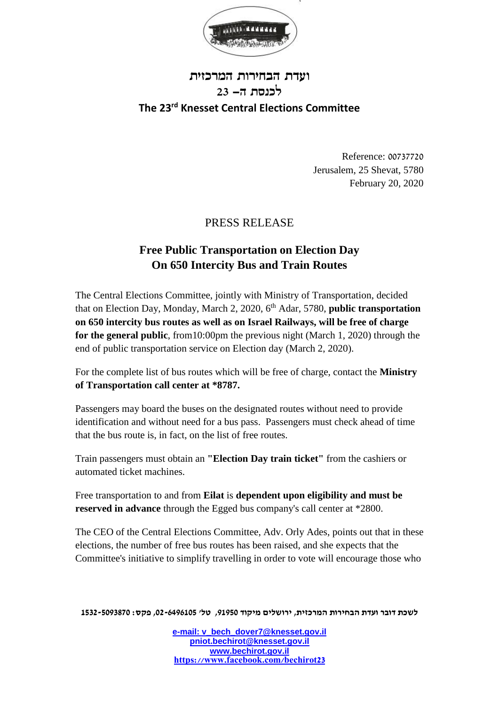

## **ועדת הבחירות המרכזית לכנסת ה- 23 The 23rd Knesset Central Elections Committee**

Reference: 00737720 Jerusalem, 25 Shevat, 5780 February 20, 2020

## PRESS RELEASE

## **Free Public Transportation on Election Day On 650 Intercity Bus and Train Routes**

The Central Elections Committee, jointly with Ministry of Transportation, decided that on Election Day, Monday, March 2, 2020, 6<sup>th</sup> Adar, 5780, **public transportation on 650 intercity bus routes as well as on Israel Railways, will be free of charge for the general public**, from10:00pm the previous night (March 1, 2020) through the end of public transportation service on Election day (March 2, 2020).

For the complete list of bus routes which will be free of charge, contact the **Ministry of Transportation call center at \*8787.**

Passengers may board the buses on the designated routes without need to provide identification and without need for a bus pass. Passengers must check ahead of time that the bus route is, in fact, on the list of free routes.

Train passengers must obtain an **"Election Day train ticket"** from the cashiers or automated ticket machines.

Free transportation to and from **Eilat** is **dependent upon eligibility and must be reserved in advance** through the Egged bus company's call center at \*2800.

The CEO of the Central Elections Committee, Adv. Orly Ades, points out that in these elections, the number of free bus routes has been raised, and she expects that the Committee's initiative to simplify travelling in order to vote will encourage those who

**לשכת דובר ועדת הבחירות המרכזית, ירושלים מיקוד ,91950 טל' ,02-6496105 פקס: 1532-5093870**

**e-mail: [v\\_bech\\_dover7@knesset.gov.il](mailto:v_bech_dover7@knesset.gov.il) [pniot.bechirot@knesset.gov.il](mailto:pniot.bechirot@knesset.gov.il) [www.bechirot.gov.il](http://www.bechirot.gov.il/) https://www.facebook.com/bechirot23**